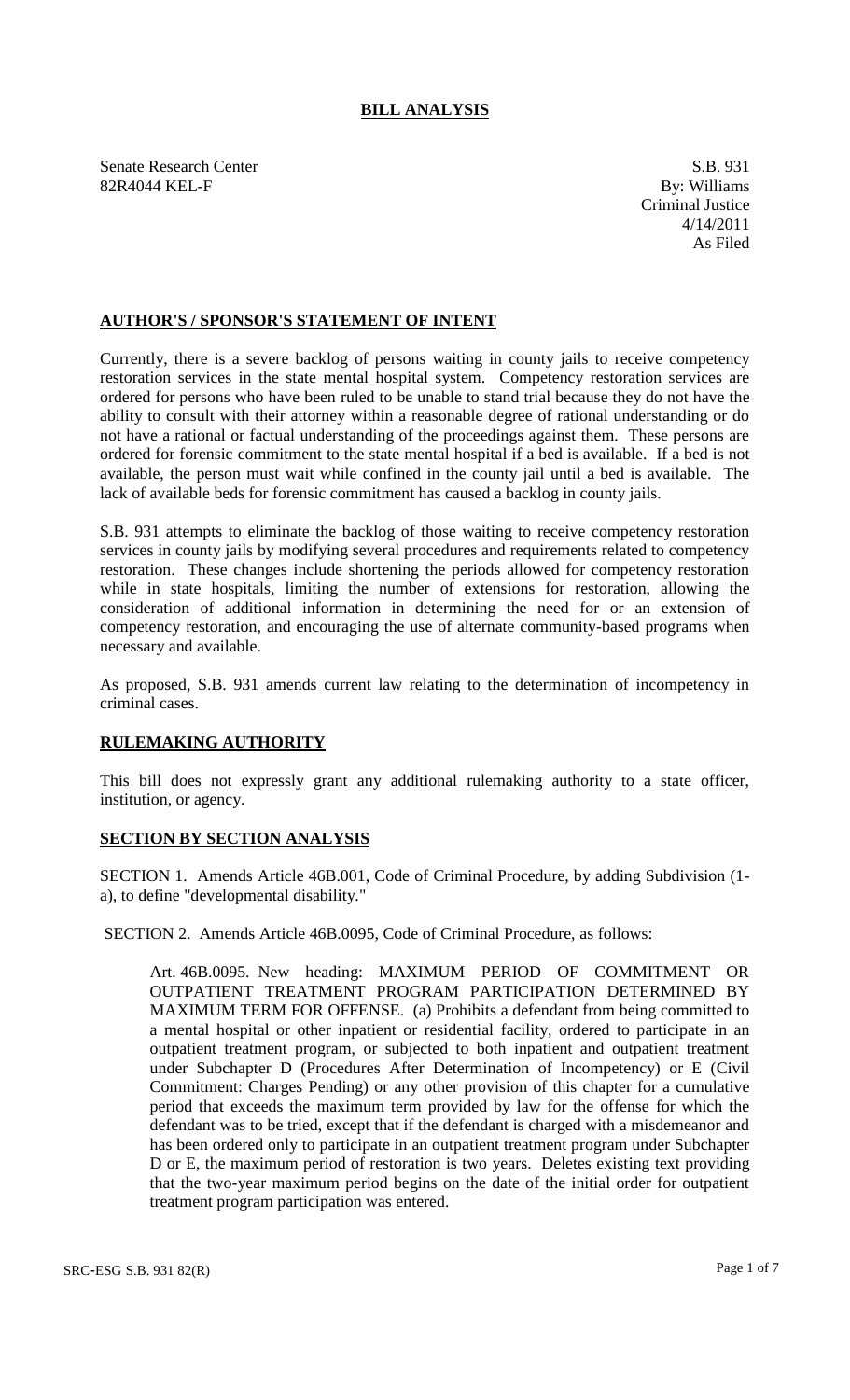## **BILL ANALYSIS**

Senate Research Center S.B. 931<br>
82R4044 KEL-F By: Williams 82R4044 KEL-F

## **AUTHOR'S / SPONSOR'S STATEMENT OF INTENT**

Currently, there is a severe backlog of persons waiting in county jails to receive competency restoration services in the state mental hospital system. Competency restoration services are ordered for persons who have been ruled to be unable to stand trial because they do not have the ability to consult with their attorney within a reasonable degree of rational understanding or do not have a rational or factual understanding of the proceedings against them. These persons are ordered for forensic commitment to the state mental hospital if a bed is available. If a bed is not available, the person must wait while confined in the county jail until a bed is available. The lack of available beds for forensic commitment has caused a backlog in county jails.

S.B. 931 attempts to eliminate the backlog of those waiting to receive competency restoration services in county jails by modifying several procedures and requirements related to competency restoration. These changes include shortening the periods allowed for competency restoration while in state hospitals, limiting the number of extensions for restoration, allowing the consideration of additional information in determining the need for or an extension of competency restoration, and encouraging the use of alternate community-based programs when necessary and available.

As proposed, S.B. 931 amends current law relating to the determination of incompetency in criminal cases.

## **RULEMAKING AUTHORITY**

This bill does not expressly grant any additional rulemaking authority to a state officer, institution, or agency.

## **SECTION BY SECTION ANALYSIS**

SECTION 1. Amends Article 46B.001, Code of Criminal Procedure, by adding Subdivision (1 a), to define "developmental disability."

SECTION 2. Amends Article 46B.0095, Code of Criminal Procedure, as follows:

Art. 46B.0095. New heading: MAXIMUM PERIOD OF COMMITMENT OR OUTPATIENT TREATMENT PROGRAM PARTICIPATION DETERMINED BY MAXIMUM TERM FOR OFFENSE. (a) Prohibits a defendant from being committed to a mental hospital or other inpatient or residential facility, ordered to participate in an outpatient treatment program, or subjected to both inpatient and outpatient treatment under Subchapter D (Procedures After Determination of Incompetency) or E (Civil Commitment: Charges Pending) or any other provision of this chapter for a cumulative period that exceeds the maximum term provided by law for the offense for which the defendant was to be tried, except that if the defendant is charged with a misdemeanor and has been ordered only to participate in an outpatient treatment program under Subchapter D or E, the maximum period of restoration is two years. Deletes existing text providing that the two-year maximum period begins on the date of the initial order for outpatient treatment program participation was entered.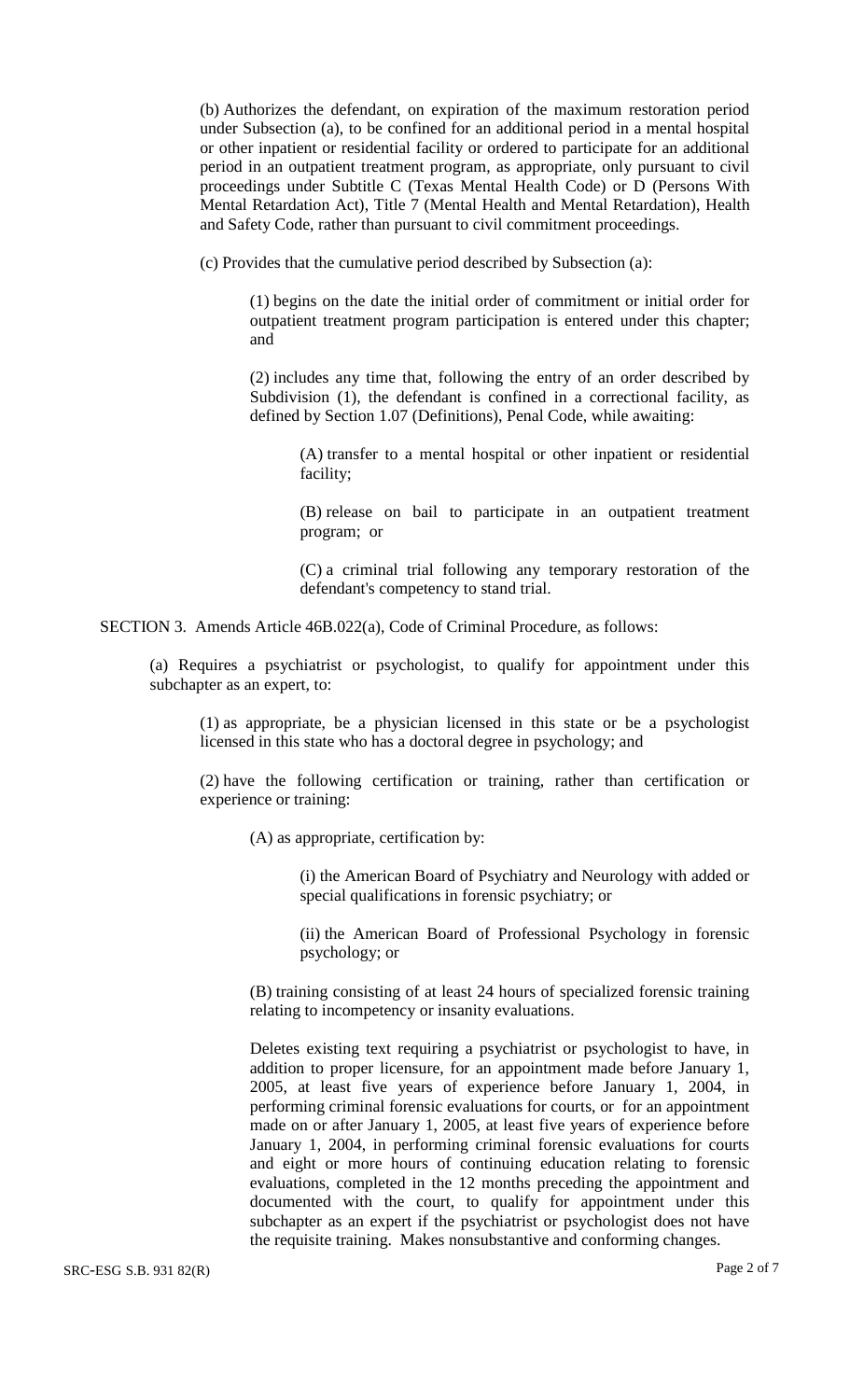(b) Authorizes the defendant, on expiration of the maximum restoration period under Subsection (a), to be confined for an additional period in a mental hospital or other inpatient or residential facility or ordered to participate for an additional period in an outpatient treatment program, as appropriate, only pursuant to civil proceedings under Subtitle C (Texas Mental Health Code) or D (Persons With Mental Retardation Act), Title 7 (Mental Health and Mental Retardation), Health and Safety Code, rather than pursuant to civil commitment proceedings.

(c) Provides that the cumulative period described by Subsection (a):

(1) begins on the date the initial order of commitment or initial order for outpatient treatment program participation is entered under this chapter; and

(2) includes any time that, following the entry of an order described by Subdivision (1), the defendant is confined in a correctional facility, as defined by Section 1.07 (Definitions), Penal Code, while awaiting:

(A) transfer to a mental hospital or other inpatient or residential facility;

(B) release on bail to participate in an outpatient treatment program; or

(C) a criminal trial following any temporary restoration of the defendant's competency to stand trial.

SECTION 3. Amends Article 46B.022(a), Code of Criminal Procedure, as follows:

(a) Requires a psychiatrist or psychologist, to qualify for appointment under this subchapter as an expert, to:

(1) as appropriate, be a physician licensed in this state or be a psychologist licensed in this state who has a doctoral degree in psychology; and

(2) have the following certification or training, rather than certification or experience or training:

(A) as appropriate, certification by:

(i) the American Board of Psychiatry and Neurology with added or special qualifications in forensic psychiatry; or

(ii) the American Board of Professional Psychology in forensic psychology; or

(B) training consisting of at least 24 hours of specialized forensic training relating to incompetency or insanity evaluations.

Deletes existing text requiring a psychiatrist or psychologist to have, in addition to proper licensure, for an appointment made before January 1, 2005, at least five years of experience before January 1, 2004, in performing criminal forensic evaluations for courts, or for an appointment made on or after January 1, 2005, at least five years of experience before January 1, 2004, in performing criminal forensic evaluations for courts and eight or more hours of continuing education relating to forensic evaluations, completed in the 12 months preceding the appointment and documented with the court, to qualify for appointment under this subchapter as an expert if the psychiatrist or psychologist does not have the requisite training. Makes nonsubstantive and conforming changes.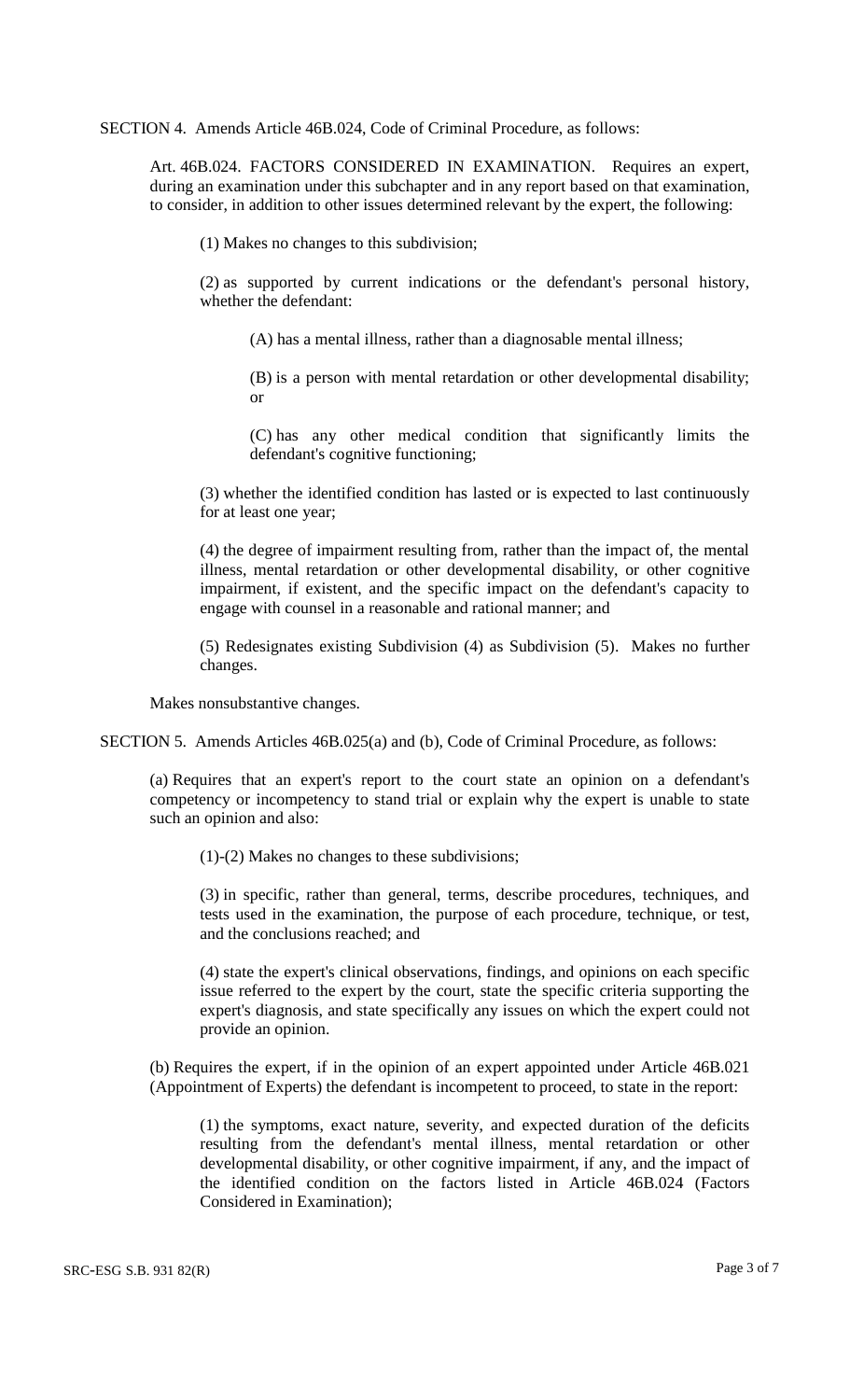SECTION 4. Amends Article 46B.024, Code of Criminal Procedure, as follows:

Art. 46B.024. FACTORS CONSIDERED IN EXAMINATION. Requires an expert, during an examination under this subchapter and in any report based on that examination, to consider, in addition to other issues determined relevant by the expert, the following:

(1) Makes no changes to this subdivision;

(2) as supported by current indications or the defendant's personal history, whether the defendant:

(A) has a mental illness, rather than a diagnosable mental illness;

(B) is a person with mental retardation or other developmental disability; or

(C) has any other medical condition that significantly limits the defendant's cognitive functioning;

(3) whether the identified condition has lasted or is expected to last continuously for at least one year;

(4) the degree of impairment resulting from, rather than the impact of, the mental illness, mental retardation or other developmental disability, or other cognitive impairment, if existent, and the specific impact on the defendant's capacity to engage with counsel in a reasonable and rational manner; and

(5) Redesignates existing Subdivision (4) as Subdivision (5). Makes no further changes.

Makes nonsubstantive changes.

SECTION 5. Amends Articles 46B.025(a) and (b), Code of Criminal Procedure, as follows:

(a) Requires that an expert's report to the court state an opinion on a defendant's competency or incompetency to stand trial or explain why the expert is unable to state such an opinion and also:

(1)-(2) Makes no changes to these subdivisions;

(3) in specific, rather than general, terms, describe procedures, techniques, and tests used in the examination, the purpose of each procedure, technique, or test, and the conclusions reached; and

(4) state the expert's clinical observations, findings, and opinions on each specific issue referred to the expert by the court, state the specific criteria supporting the expert's diagnosis, and state specifically any issues on which the expert could not provide an opinion.

(b) Requires the expert, if in the opinion of an expert appointed under Article 46B.021 (Appointment of Experts) the defendant is incompetent to proceed, to state in the report:

(1) the symptoms, exact nature, severity, and expected duration of the deficits resulting from the defendant's mental illness, mental retardation or other developmental disability, or other cognitive impairment, if any, and the impact of the identified condition on the factors listed in Article 46B.024 (Factors Considered in Examination);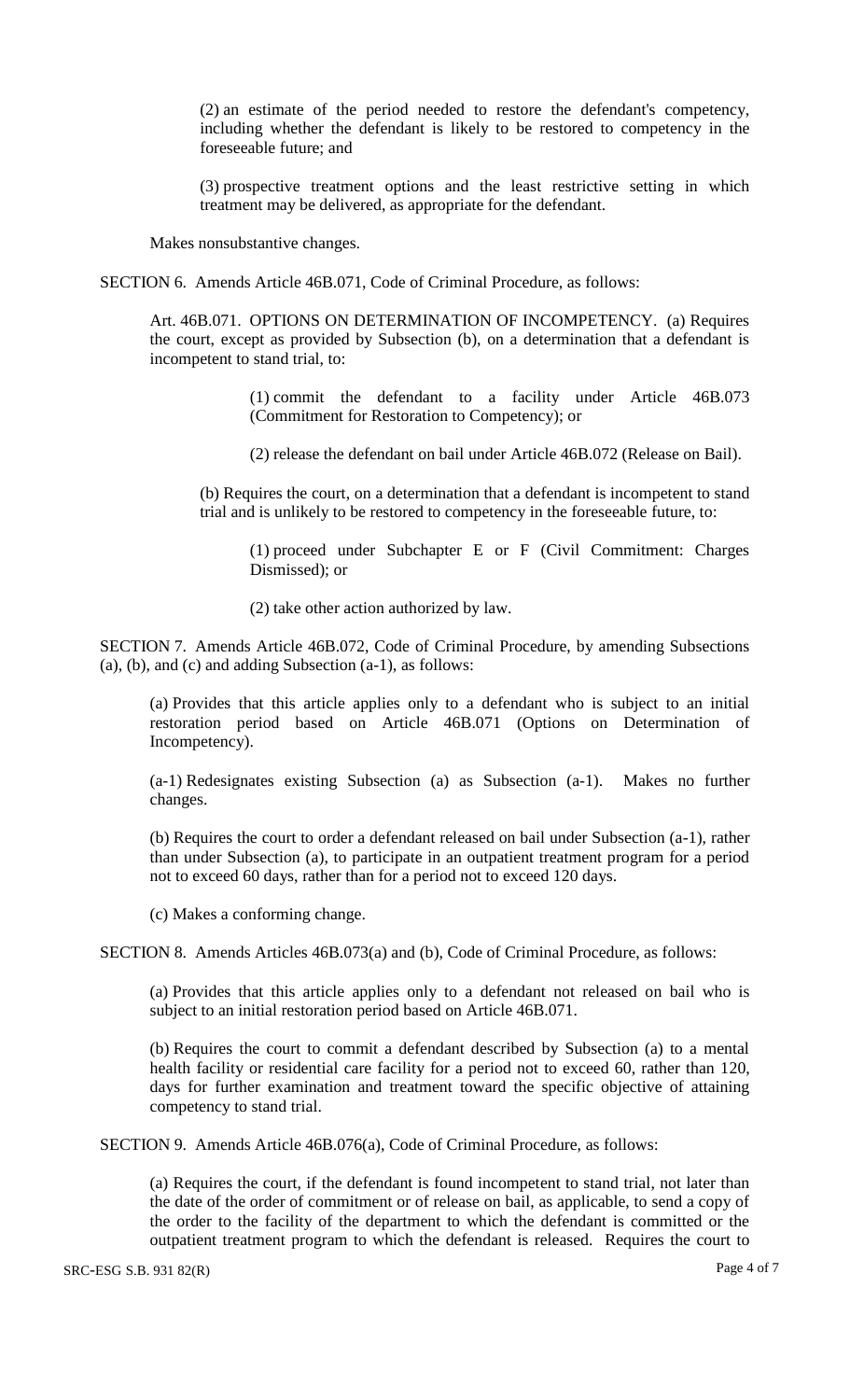(2) an estimate of the period needed to restore the defendant's competency, including whether the defendant is likely to be restored to competency in the foreseeable future; and

(3) prospective treatment options and the least restrictive setting in which treatment may be delivered, as appropriate for the defendant.

Makes nonsubstantive changes.

SECTION 6. Amends Article 46B.071, Code of Criminal Procedure, as follows:

Art. 46B.071. OPTIONS ON DETERMINATION OF INCOMPETENCY. (a) Requires the court, except as provided by Subsection (b), on a determination that a defendant is incompetent to stand trial, to:

> (1) commit the defendant to a facility under Article 46B.073 (Commitment for Restoration to Competency); or

(2) release the defendant on bail under Article 46B.072 (Release on Bail).

(b) Requires the court, on a determination that a defendant is incompetent to stand trial and is unlikely to be restored to competency in the foreseeable future, to:

(1) proceed under Subchapter E or F (Civil Commitment: Charges Dismissed); or

(2) take other action authorized by law.

SECTION 7. Amends Article 46B.072, Code of Criminal Procedure, by amending Subsections (a), (b), and (c) and adding Subsection (a-1), as follows:

(a) Provides that this article applies only to a defendant who is subject to an initial restoration period based on Article 46B.071 (Options on Determination of Incompetency).

(a-1) Redesignates existing Subsection (a) as Subsection (a-1). Makes no further changes.

(b) Requires the court to order a defendant released on bail under Subsection (a-1), rather than under Subsection (a), to participate in an outpatient treatment program for a period not to exceed 60 days, rather than for a period not to exceed 120 days.

(c) Makes a conforming change.

SECTION 8. Amends Articles 46B.073(a) and (b), Code of Criminal Procedure, as follows:

(a) Provides that this article applies only to a defendant not released on bail who is subject to an initial restoration period based on Article 46B.071.

(b) Requires the court to commit a defendant described by Subsection (a) to a mental health facility or residential care facility for a period not to exceed 60, rather than 120, days for further examination and treatment toward the specific objective of attaining competency to stand trial.

SECTION 9. Amends Article 46B.076(a), Code of Criminal Procedure, as follows:

(a) Requires the court, if the defendant is found incompetent to stand trial, not later than the date of the order of commitment or of release on bail, as applicable, to send a copy of the order to the facility of the department to which the defendant is committed or the outpatient treatment program to which the defendant is released. Requires the court to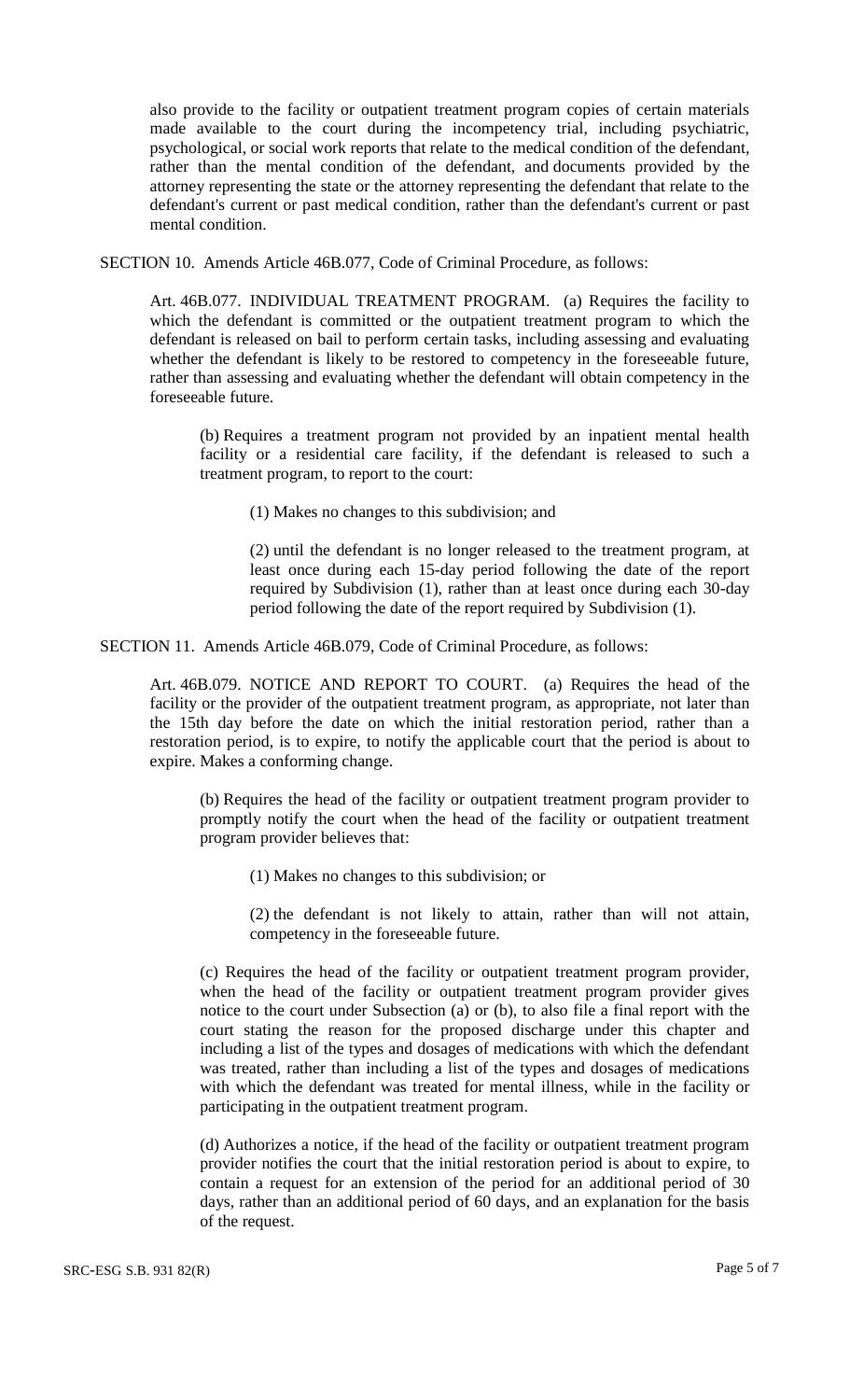also provide to the facility or outpatient treatment program copies of certain materials made available to the court during the incompetency trial, including psychiatric, psychological, or social work reports that relate to the medical condition of the defendant, rather than the mental condition of the defendant, and documents provided by the attorney representing the state or the attorney representing the defendant that relate to the defendant's current or past medical condition, rather than the defendant's current or past mental condition.

SECTION 10. Amends Article 46B.077, Code of Criminal Procedure, as follows:

Art. 46B.077. INDIVIDUAL TREATMENT PROGRAM. (a) Requires the facility to which the defendant is committed or the outpatient treatment program to which the defendant is released on bail to perform certain tasks, including assessing and evaluating whether the defendant is likely to be restored to competency in the foreseeable future, rather than assessing and evaluating whether the defendant will obtain competency in the foreseeable future.

(b) Requires a treatment program not provided by an inpatient mental health facility or a residential care facility, if the defendant is released to such a treatment program, to report to the court:

(1) Makes no changes to this subdivision; and

(2) until the defendant is no longer released to the treatment program, at least once during each 15-day period following the date of the report required by Subdivision (1), rather than at least once during each 30-day period following the date of the report required by Subdivision (1).

SECTION 11. Amends Article 46B.079, Code of Criminal Procedure, as follows:

Art. 46B.079. NOTICE AND REPORT TO COURT. (a) Requires the head of the facility or the provider of the outpatient treatment program, as appropriate, not later than the 15th day before the date on which the initial restoration period, rather than a restoration period, is to expire, to notify the applicable court that the period is about to expire. Makes a conforming change.

(b) Requires the head of the facility or outpatient treatment program provider to promptly notify the court when the head of the facility or outpatient treatment program provider believes that:

(1) Makes no changes to this subdivision; or

(2) the defendant is not likely to attain, rather than will not attain, competency in the foreseeable future.

(c) Requires the head of the facility or outpatient treatment program provider, when the head of the facility or outpatient treatment program provider gives notice to the court under Subsection (a) or (b), to also file a final report with the court stating the reason for the proposed discharge under this chapter and including a list of the types and dosages of medications with which the defendant was treated, rather than including a list of the types and dosages of medications with which the defendant was treated for mental illness, while in the facility or participating in the outpatient treatment program.

(d) Authorizes a notice, if the head of the facility or outpatient treatment program provider notifies the court that the initial restoration period is about to expire, to contain a request for an extension of the period for an additional period of 30 days, rather than an additional period of 60 days, and an explanation for the basis of the request.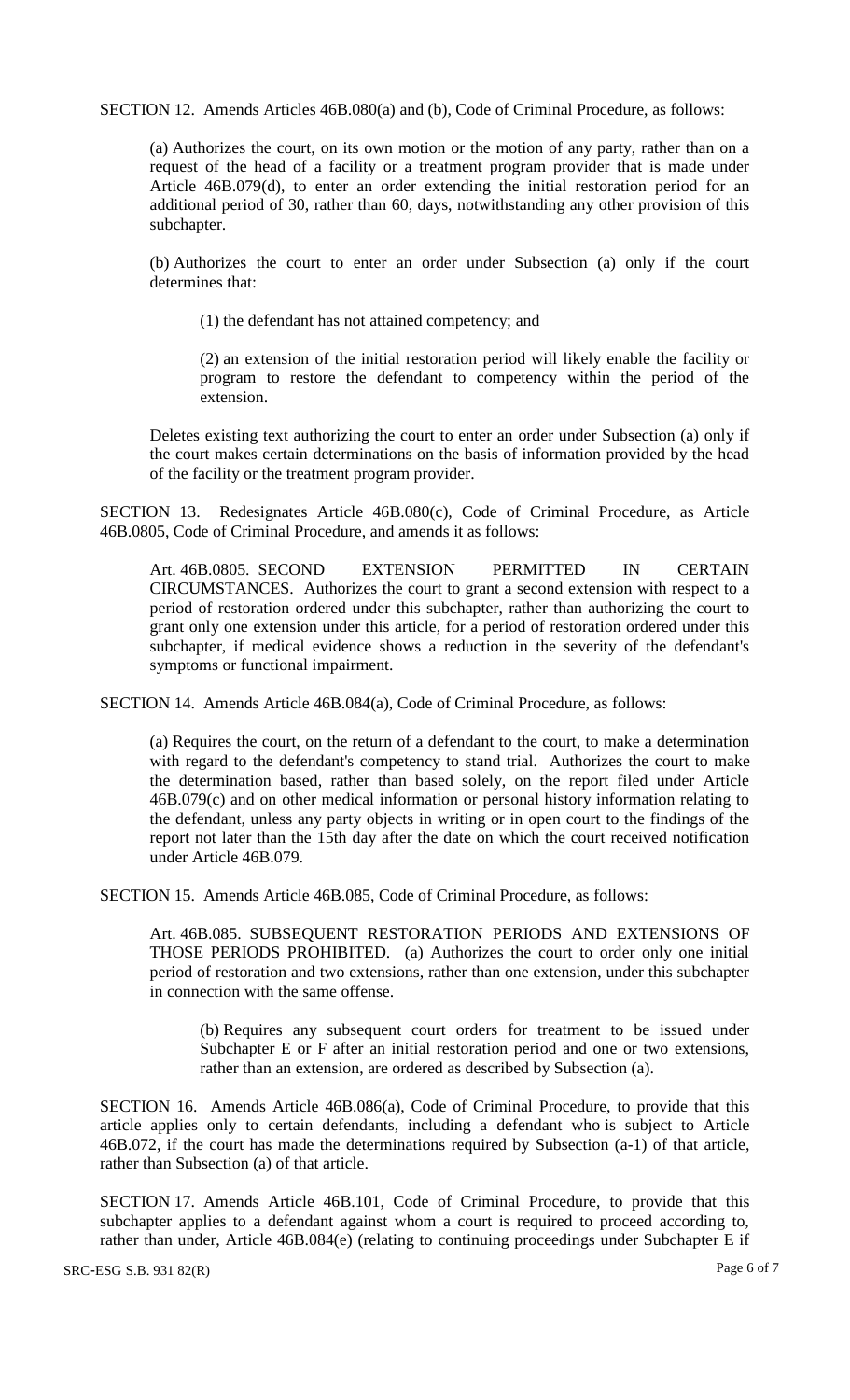SECTION 12. Amends Articles 46B.080(a) and (b), Code of Criminal Procedure, as follows:

(a) Authorizes the court, on its own motion or the motion of any party, rather than on a request of the head of a facility or a treatment program provider that is made under Article 46B.079(d), to enter an order extending the initial restoration period for an additional period of 30, rather than 60, days, notwithstanding any other provision of this subchapter.

(b) Authorizes the court to enter an order under Subsection (a) only if the court determines that:

(1) the defendant has not attained competency; and

(2) an extension of the initial restoration period will likely enable the facility or program to restore the defendant to competency within the period of the extension.

Deletes existing text authorizing the court to enter an order under Subsection (a) only if the court makes certain determinations on the basis of information provided by the head of the facility or the treatment program provider.

SECTION 13. Redesignates Article 46B.080(c), Code of Criminal Procedure, as Article 46B.0805, Code of Criminal Procedure, and amends it as follows:

Art. 46B.0805. SECOND EXTENSION PERMITTED IN CERTAIN CIRCUMSTANCES. Authorizes the court to grant a second extension with respect to a period of restoration ordered under this subchapter, rather than authorizing the court to grant only one extension under this article, for a period of restoration ordered under this subchapter, if medical evidence shows a reduction in the severity of the defendant's symptoms or functional impairment.

SECTION 14. Amends Article 46B.084(a), Code of Criminal Procedure, as follows:

(a) Requires the court, on the return of a defendant to the court, to make a determination with regard to the defendant's competency to stand trial. Authorizes the court to make the determination based, rather than based solely, on the report filed under Article 46B.079(c) and on other medical information or personal history information relating to the defendant, unless any party objects in writing or in open court to the findings of the report not later than the 15th day after the date on which the court received notification under Article 46B.079.

SECTION 15. Amends Article 46B.085, Code of Criminal Procedure, as follows:

Art. 46B.085. SUBSEQUENT RESTORATION PERIODS AND EXTENSIONS OF THOSE PERIODS PROHIBITED. (a) Authorizes the court to order only one initial period of restoration and two extensions, rather than one extension, under this subchapter in connection with the same offense.

(b) Requires any subsequent court orders for treatment to be issued under Subchapter E or F after an initial restoration period and one or two extensions, rather than an extension, are ordered as described by Subsection (a).

SECTION 16. Amends Article 46B.086(a), Code of Criminal Procedure, to provide that this article applies only to certain defendants, including a defendant who is subject to Article 46B.072, if the court has made the determinations required by Subsection (a-1) of that article, rather than Subsection (a) of that article.

SECTION 17. Amends Article 46B.101, Code of Criminal Procedure, to provide that this subchapter applies to a defendant against whom a court is required to proceed according to, rather than under, Article 46B.084(e) (relating to continuing proceedings under Subchapter E if